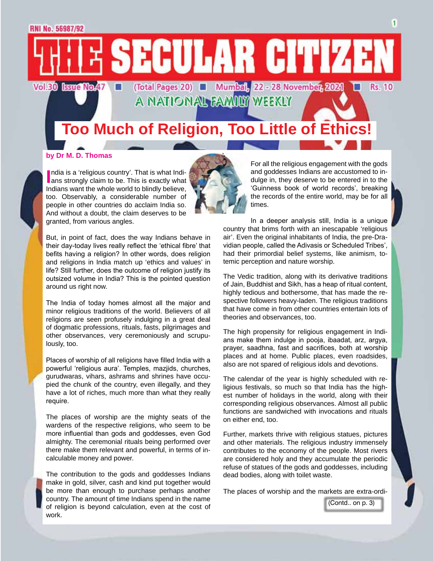## **Too Much of Religion, Too Little of Et**

A NATIONAL FAMILY WEEKLY

SECULAR CITIZE

(Total Pages 20) Wumbal, 22 - 28 November, 2021

#### **by Dr M. D. Thomas**

**Vol.30 Issue No.47** 

**I** India is a 'religious country'. That is what Indians strongly claim to be. This is exactly what ndia is a 'religious country'. That is what Indi-Indians want the whole world to blindly believe, too. Observably, a considerable number of people in other countries do acclaim India so. And without a doubt, the claim deserves to be granted, from various angles.

m,



The India of today homes almost all the major and minor religious traditions of the world. Believers of all religions are seen profusely indulging in a great deal of dogmatic professions, rituals, fasts, pilgrimages and other observances, very ceremoniously and scrupulously, too.

Places of worship of all religions have filled India with a powerful 'religious aura'. Temples, mazjids, churches, gurudwaras, vihars, ashrams and shrines have occupied the chunk of the country, even illegally, and they have a lot of riches, much more than what they really require.

The places of worship are the mighty seats of the wardens of the respective religions, who seem to be more influential than gods and goddesses, even God almighty. The ceremonial rituals being performed over there make them relevant and powerful, in terms of incalculable money and power.

The contribution to the gods and goddesses Indians make in gold, silver, cash and kind put together would be more than enough to purchase perhaps another country. The amount of time Indians spend in the name of religion is beyond calculation, even at the cost of work.

For all the religious engagement with the gods and goddesses Indians are accustomed to indulge in, they deserve to be entered in to the 'Guinness book of world records', breaking the records of the entire world, may be for all times.

In a deeper analysis still, India is a unique country that brims forth with an inescapable 'religious air'. Even the original inhabitants of India, the pre-Dravidian people, called the Adivasis or Scheduled Tribes', had their primordial belief systems, like animism, totemic perception and nature worship.

The Vedic tradition, along with its derivative traditions of Jain, Buddhist and Sikh, has a heap of ritual content, highly tedious and bothersome, that has made the respective followers heavy-laden. The religious traditions that have come in from other countries entertain lots of theories and observances, too.

The high propensity for religious engagement in Indians make them indulge in pooja, ibaadat, arz, argya, prayer, saadhna, fast and sacrifices, both at worship places and at home. Public places, even roadsides, also are not spared of religious idols and devotions.

The calendar of the year is highly scheduled with religious festivals, so much so that India has the highest number of holidays in the world, along with their corresponding religious observances. Almost all public functions are sandwiched with invocations and rituals on either end, too.

Further, markets thrive with religious statues, pictures and other materials. The religious industry immensely contributes to the economy of the people. Most rivers are considered holy and they accumulate the periodic refuse of statues of the gods and goddesses, including dead bodies, along with toilet waste.

The places of worship and the markets are extra-ordi-

(Contd.. on p. 3)

**Rs. 10**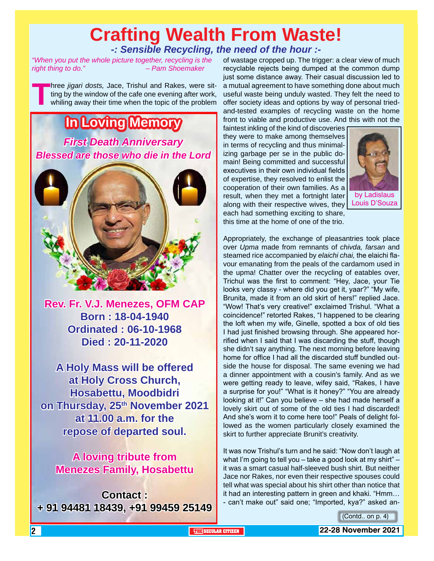## **Crafting Wealth From Waste!** *-: Sensible Recycling, the need of the hour :-*

*"When you put the whole picture together, recycling is the right thing to do." – Pam Shoemaker*

**Three** *jigari dosts*, Jace, Trishul and Rakes, were sitting by the window of the cafe one evening after work, whiling away their time when the topic of the problem ting by the window of the cafe one evening after work, whiling away their time when the topic of the problem

## **In Loving Memory** *First Death Anniversary Blessed are those who die in the Lord*



**Rev. Fr. V.J. Menezes, OFM CAP Born : 18-04-1940 Ordinated : 06-10-1968 Died : 20-11-2020**

**A Holy Mass will be offered at Holy Cross Church, Hosabettu, Moodbidri**  on Thursday, 25<sup>th</sup> November 2021 **at 11.00 a.m. for the repose of departed soul.**

**A loving tribute from Menezes Family, Hosabettu**

**Contact : + 91 94481 18439, +91 99459 25149**

of wastage cropped up. The trigger: a clear view of much recyclable rejects being dumped at the common dump just some distance away. Their casual discussion led to a mutual agreement to have something done about much useful waste being unduly wasted. They felt the need to offer society ideas and options by way of personal triedand-tested examples of recycling waste on the home front to viable and productive use. And this with not the

faintest inkling of the kind of discoveries they were to make among themselves in terms of recycling and thus minimalizing garbage per se in the public domain! Being committed and successful executives in their own individual fields of expertise, they resolved to enlist the cooperation of their own families. As a result, when they met a fortnight later along with their respective wives, they each had something exciting to share, this time at the home of one of the trio.



Appropriately, the exchange of pleasantries took place over *Upma* made from remnants of *chivda, farsan* and steamed rice accompanied by *elaichi chai,* the elaichi flavour emanating from the peals of the cardamom used in the upma! Chatter over the recycling of eatables over, Trichul was the first to comment: "Hey, Jace, your Tie looks very classy - where did you get it, yaar?" "My wife, Brunita, made it from an old skirt of hers!" replied Jace. "Wow! That's very creative!" exclaimed Trishul. "What a coincidence!" retorted Rakes, "I happened to be clearing the loft when my wife, Ginelle, spotted a box of old ties I had just finished browsing through. She appeared horrified when I said that I was discarding the stuff, though she didn't say anything. The next morning before leaving home for office I had all the discarded stuff bundled outside the house for disposal. The same evening we had a dinner appointment with a cousin's family. And as we were getting ready to leave, wifey said, "Rakes, I have a surprise for you!" "What is it honey?" "You are already looking at it!" Can you believe – she had made herself a lovely skirt out of some of the old ties I had discarded! And she's worn it to come here too!" Peals of delight followed as the women particularly closely examined the skirt to further appreciate Brunit's creativity.

It was now Trishul's turn and he said: "Now don't laugh at what I'm going to tell you – take a good look at my shirt" – it was a smart casual half-sleeved bush shirt. But neither Jace nor Rakes, nor even their respective spouses could tell what was special about his shirt other than notice that it had an interesting pattern in green and khaki. "Hmm… - can't make out" said one; "Imported, kya?" asked an-

(Contd.. on p. 4)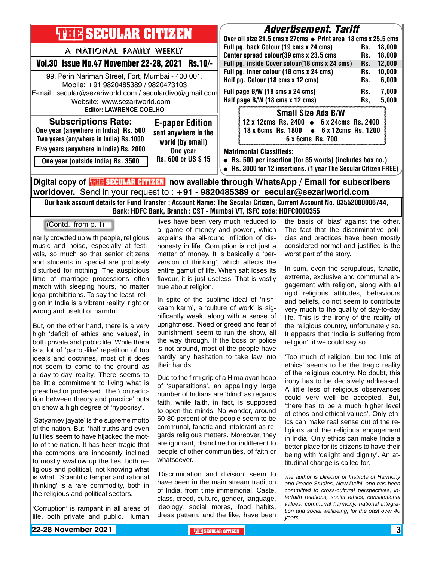| <b>THIR SECULAR CITIZEN</b>                                                                                                                                                         | <i><b>Advertisement. Tariff</b></i><br>Over all size 21.5 cms x 27cms ● Print area 18 cms x 25.5 cms                                                                                                                |  |  |
|-------------------------------------------------------------------------------------------------------------------------------------------------------------------------------------|---------------------------------------------------------------------------------------------------------------------------------------------------------------------------------------------------------------------|--|--|
| A NATIONAL FAMILY WEEKLY                                                                                                                                                            | Full pg. back Colour (19 cms x 24 cms)<br>18.000<br>Rs.<br>Center spread colour(39 cms x 23.5 cms<br>18.000<br>Rs.                                                                                                  |  |  |
| Vol.30 Issue No.47 November 22-28, 2021 Rs.10/-                                                                                                                                     | Full pg. inside Cover colour(18 cms x 24 cms)<br>12,000<br>Rs.                                                                                                                                                      |  |  |
| 99, Perin Nariman Street, Fort, Mumbai - 400 001.<br>Mobile: +91 9820485389 / 9820473103<br>E-mail: secular@sezariworld.com / seculardivo@gmail.com<br>Website: www.sezariworld.com | Full pg. inner colour (18 cms x 24 cms)<br>10,000<br>Rs.<br>Half pg. Colour (18 cms x 12 cms)<br>6,000<br>Rs.<br>Full page B/W (18 cms x 24 cms)<br>7,000<br>Rs.<br>Half page B/W (18 cms x 12 cms)<br>5,000<br>Rs. |  |  |
| <b>Editor: LAWRENCE COELHO</b>                                                                                                                                                      | <b>Small Size Ads B/W</b>                                                                                                                                                                                           |  |  |
| <b>Subscriptions Rate:</b><br><b>E-paper Edition</b><br>One year (anywhere in India) Rs. 500<br>sent anywhere in the<br>Two years (anywhere in India) Rs.1000<br>world (by email)   | 12 x 12cms Rs. 2400 • 6 x 24cms Rs. 2400<br>18 x 6cms Rs. 1800 • 6 x 12cms Rs. 1200<br>6 x 6cms Rs. 700                                                                                                             |  |  |
| Five years (anywhere in India) Rs. 2000<br>One year<br>Rs. 600 or US \$15<br>One year (outside India) Rs. 3500                                                                      | <b>Matrimonial Classifieds:</b><br>• Rs. 500 per insertion (for 35 words) (includes box no.)<br>• Rs. 3000 for 12 insertions. (1 year The Secular Citizen FREE)                                                     |  |  |
| Digital copy of <mark>電阻局SECULAR CITIZEN</mark> now available through WhatsApp / Email for subscribers                                                                              |                                                                                                                                                                                                                     |  |  |

**worldover.** Send in your request to : **+91 - 9820485389 or secular@sezariworld.com**

Our bank account details for Fund Transfer : Account Name: The Secular Citizen, Current Account No. 03552000006744, Bank: HDFC Bank, Branch : CST - Mumbai VT, ISFC code: HDFC0000355

(Contd.. from p. 1)

narily crowded up with people, religious music and noise, especially at festivals, so much so that senior citizens and students in special are profusely disturbed for nothing. The auspicious time of marriage processions often match with sleeping hours, no matter legal prohibitions. To say the least, religion in India is a vibrant reality, right or wrong and useful or harmful.

But, on the other hand, there is a very high 'deficit of ethics and values', in both private and public life. While there is a lot of 'parrot-like' repetition of top ideals and doctrines, most of it does not seem to come to the ground as a day-to-day reality. There seems to be little commitment to living what is preached or professed. The 'contradiction between theory and practice' puts on show a high degree of 'hypocrisy'.

'Satyamev jayate' is the supreme motto of the nation. But, 'half truths and even full lies' seem to have hijacked the motto of the nation. It has been tragic that the commons are innocently inclined to mostly swallow up the lies, both religious and political, not knowing what is what. 'Scientific temper and rational thinking' is a rare commodity, both in the religious and political sectors.

'Corruption' is rampant in all areas of life, both private and public. Human

lives have been very much reduced to a 'game of money and power', which explains the all-round infliction of dishonesty in life. Corruption is not just a matter of money. It is basically a 'perversion of thinking', which affects the entire gamut of life. When salt loses its flavour, it is just useless. That is vastly true about religion.

In spite of the sublime ideal of 'nishkaam karm', a 'culture of work' is significantly weak, along with a sense of uprightness. 'Need or greed and fear of punishment' seem to run the show, all the way through. If the boss or police is not around, most of the people have hardly any hesitation to take law into their hands.

Due to the firm grip of a Himalayan heap of 'superstitions', an appallingly large number of Indians are 'blind' as regards faith, while faith, in fact, is supposed to open the minds. No wonder, around 60-80 percent of the people seem to be communal, fanatic and intolerant as regards religious matters. Moreover, they are ignorant, disinclined or indifferent to people of other communities, of faith or whatsoever.

'Discrimination and division' seem to have been in the main stream tradition of India, from time immemorial. Caste, class, creed, culture, gender, language, ideology, social mores, food habits, dress pattern, and the like, have been

the basis of 'bias' against the other. The fact that the discriminative policies and practices have been mostly considered normal and justified is the worst part of the story.

In sum, even the scrupulous, fanatic, extreme, exclusive and communal engagement with religion, along with all rigid religious attitudes, behaviours and beliefs, do not seem to contribute very much to the quality of day-to-day life. This is the irony of the reality of the religious country, unfortunately so. It appears that 'India is suffering from religion', if we could say so.

'Too much of religion, but too little of ethics' seems to be the tragic reality of the religious country. No doubt, this irony has to be decisively addressed. A little less of religious observances could very well be accepted. But, 'there has to be a much higher level of ethos and ethical values'. Only ethics can make real sense out of the religions and the religious engagement in India. Only ethics can make India a better place for its citizens to have their being with 'delight and dignity'. An attitudinal change is called for.

*The author is Director of Institute of Harmony and Peace Studies, New Delhi, and has been committed to cross-cultural perspectives, interfaith relations, social ethics, constitutional values, communal harmony, national integration and social wellbeing, for the past over 40 years.*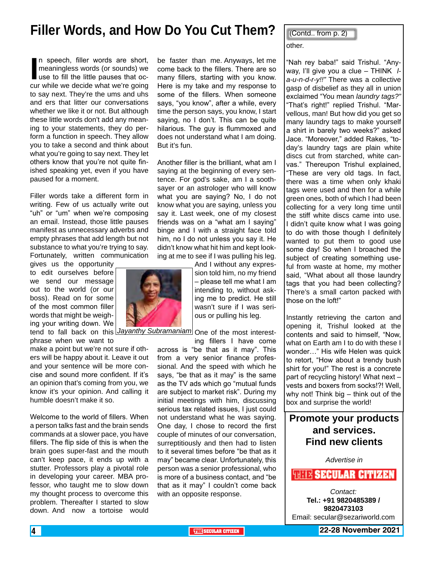## **Filler Words, and How Do You Cut Them?**

In speech, filler words are short,<br>meaningless words (or sounds) we<br>use to fill the little pauses that oc-<br>cur while we decide what we're going n speech, filler words are short, meaningless words (or sounds) we use to fill the little pauses that octo say next. They're the ums and uhs and ers that litter our conversations whether we like it or not. But although these little words don't add any meaning to your statements, they do perform a function in speech. They allow you to take a second and think about what you're going to say next. They let others know that you're not quite finished speaking yet, even if you have paused for a moment.

Filler words take a different form in writing. Few of us actually write out "uh" or "um" when we're composing an email. Instead, those little pauses manifest as unnecessary adverbs and empty phrases that add length but not substance to what you're trying to say. Fortunately, written communication

gives us the opportunity to edit ourselves before we send our message out to the world (or our boss). Read on for some of the most common filler words that might be weighing your writing down. We

phrase when we want to

make a point but we're not sure if others will be happy about it. Leave it out and your sentence will be more concise and sound more confident. If it's an opinion that's coming from you, we know it's your opinion. And calling it humble doesn't make it so.

Welcome to the world of fillers. When a person talks fast and the brain sends commands at a slower pace, you have fillers. The flip side of this is when the brain goes super-fast and the mouth can't keep pace, it ends up with a stutter. Professors play a pivotal role in developing your career. MBA professor, who taught me to slow down my thought process to overcome this problem. Thereafter I started to slow down. And now a tortoise would

be faster than me. Anyways, let me come back to the fillers. There are so many fillers, starting with you know. Here is my take and my response to some of the fillers. When someone says, "you know", after a while, every time the person says, you know, I start saying, no I don't. This can be quite hilarious. The guy is flummoxed and does not understand what I am doing. But it's fun.

Another filler is the brilliant, what am I saying at the beginning of every sentence. For god's sake, am I a soothsayer or an astrologer who will know what you are saying? No, I do not know what you are saying, unless you say it. Last week, one of my closest friends was on a "what am I saying" binge and I with a straight face told him, no I do not unless you say it. He didn't know what hit him and kept looking at me to see if I was pulling his leg.

> And I without any expression told him, no my friend – please tell me what I am intending to, without asking me to predict. He still wasn't sure if I was serious or pulling his leg.

tend to fall back on this *Jayanthy Subramaniam* One of the most interest-

ing fillers I have come across is "be that as it may". This from a very senior finance professional. And the speed with which he says, "be that as it may" is the same as the TV ads which go "mutual funds are subject to market risk". During my initial meetings with him, discussing serious tax related issues, I just could not understand what he was saying. One day, I chose to record the first couple of minutes of our conversation, surreptitiously and then had to listen to it several times before "be that as it may" became clear. Unfortunately, this person was a senior professional, who is more of a business contact, and "be that as it may" I couldn't come back with an opposite response.

other. (Contd.. from p. 2)

"Nah rey baba!" said Trishul. "Anyway, I'll give you a clue – THINK *la-u-n-d-r-y!!"* There was a collective gasp of disbelief as they all in union exclaimed "You mean *laundry tags?"* "That's right!" replied Trishul. "Marvellous, man! But how did you get so many laundry tags to make yourself a shirt in barely two weeks?" asked Jace. "Moreover," added Rakes, "today's laundry tags are plain white discs cut from starched, white canvas." Thereupon Trishul explained, "These are very old tags. In fact, there was a time when only khaki tags were used and then for a while green ones, both of which I had been collecting for a very long time until the stiff white discs came into use. I didn't quite know what I was going to do with those though I definitely wanted to put them to good use some day! So when I broached the subject of creating something useful from waste at home, my mother said, "What about all those laundry tags that you had been collecting? There's a small carton packed with those on the loft!"

Instantly retrieving the carton and opening it, Trishul looked at the contents and said to himself, "Now, what on Earth am I to do with these I wonder…" His wife Helen was quick to retort, "How about a trendy bush shirt for you!" The rest is a concrete part of recycling history! What next – vests and boxers from socks!?! Well, why not! Think big – think out of the box and surprise the world!

### **Promote your products and services. Find new clients**

*Advertise in*

#### **WHEE SECULAR CITIZEN**

*Contact:* **Tel.: +91 9820485389 / 9820473103** Email: secular@sezariworld.com

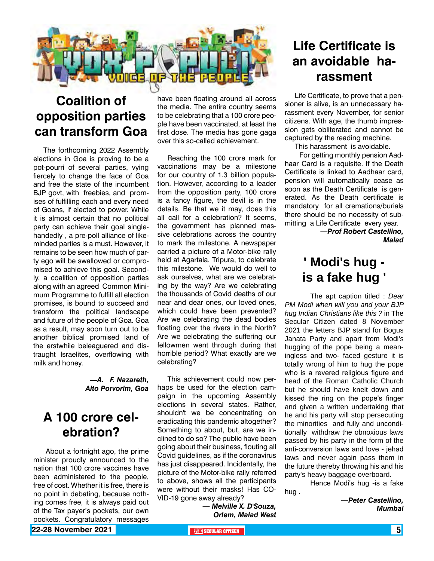

## **Coalition of opposition parties can transform Goa**

The forthcoming 2022 Assembly elections in Goa is proving to be a pot-pourri of several parties, vying fiercely to change the face of Goa and free the state of the incumbent BJP govt, with freebies, and promises of fulfilling each and every need of Goans, if elected to power. While it is almost certain that no political party can achieve their goal singlehandedly , a pre-poll alliance of likeminded parties is a must. However, it remains to be seen how much of party ego will be swallowed or compromised to achieve this goal. Secondly, a coalition of opposition parties along with an agreed Common Minimum Programme to fulfill all election promises, is bound to succeed and transform the political landscape and future of the people of Goa. Goa as a result, may soon turn out to be another biblical promised land of the erstwhile beleaguered and distraught Israelites, overflowing with milk and honey.

#### *—A. F. Nazareth, Alto Porvorim, Goa*

### **A 100 crore celebration?**

 About a fortnight ago, the prime minister proudly announced to the nation that 100 crore vaccines have been administered to the people, free of cost. Whether it is free, there is no point in debating, because nothing comes free, it is always paid out of the Tax payer's pockets, our own pockets. Congratulatory messages

have been floating around all across the media. The entire country seems to be celebrating that a 100 crore people have been vaccinated, at least the first dose. The media has gone gaga over this so-called achievement.

Reaching the 100 crore mark for vaccinations may be a milestone for our country of 1.3 billion population. However, according to a leader from the opposition party, 100 crore is a fancy figure, the devil is in the details. Be that we it may, does this all call for a celebration? It seems, the government has planned massive celebrations across the country to mark the milestone. A newspaper carried a picture of a Motor-bike rally held at Agartala, Tripura, to celebrate this milestone. We would do well to ask ourselves, what are we celebrating by the way? Are we celebrating the thousands of Covid deaths of our near and dear ones, our loved ones, which could have been prevented? Are we celebrating the dead bodies floating over the rivers in the North? Are we celebrating the suffering our fellowmen went through during that horrible period? What exactly are we celebrating?

This achievement could now perhaps be used for the election campaign in the upcoming Assembly elections in several states. Rather, shouldn't we be concentrating on eradicating this pandemic altogether? Something to about, but, are we inclined to do so? The public have been going about their business, flouting all Covid guidelines, as if the coronavirus has just disappeared. Incidentally, the picture of the Motor-bike rally referred to above, shows all the participants were without their masks! Has CO-VID-19 gone away already?

*— Melville X. D'Souza, Orlem, Malad West*

## **Life Certificate is an avoidable harassment**

Life Certificate, to prove that a pensioner is alive, is an unnecessary harassment every November, for senior citizens. With age, the thumb impression gets obliterated and cannot be captured by the reading machine.

This harassment is avoidable.

 For getting monthly pension Aadhaar Card is a requisite. If the Death Certificate is linked to Aadhaar card, pension will automatically cease as soon as the Death Certificate is generated. As the Death certificate is mandatory for all cremations/burials there should be no necessity of submitting a Life Certificate every year.

*—Prof Robert Castellino, Malad*

## **' Modi's hug is a fake hug '**

The apt caption titled : *Dear PM Modi when will you and your BJP hug Indian Christians like this ?* in The Secular Citizen dated 8 November 2021 the letters BJP stand for Bogus Janata Party and apart from Modi's hugging of the pope being a meaningless and two- faced gesture it is totally wrong of him to hug the pope who is a revered religious figure and head of the Roman Catholic Church but he should have knelt down and kissed the ring on the pope's finger and given a written undertaking that he and his party will stop persecuting the minorities and fully and unconditionally withdraw the obnoxious laws passed by his party in the form of the anti-conversion laws and love - jehad laws and never again pass them in the future thereby throwing his and his party's heavy baggage overboard.

Hence Modi's hug -is a fake

hug .

*—Peter Castellino, Mumbai*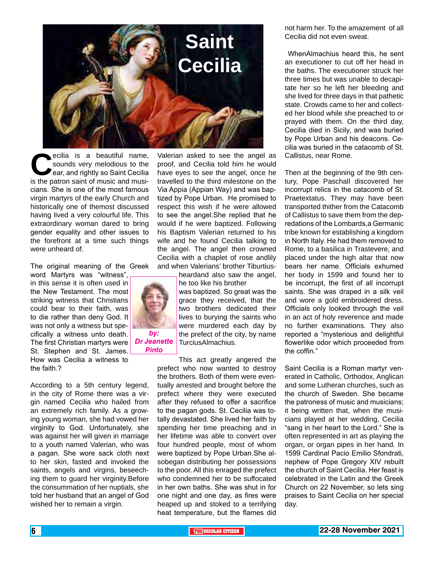

**C**ecilia is a beautiful name,<br>sounds very melodious to the<br>ear, and rightly so Saint Cecilia<br>is the patron saint of music and musisounds very melodious to the ear, and rightly so Saint Cecilia is the patron saint of music and musicians. She is one of the most famous virgin martyrs of the early Church and historically one of themost discussed having lived a very colourful life. This extraordinary woman dared to bring gender equality and other issues to the forefront at a time such things were unheard of.

The original meaning of the Greek

word Martyrs was "witness", in this sense it is often used in the New Testament. The most striking witness that Christians could bear to their faith, was to die rather than deny God. It was not only a witness but specifically a witness unto death. The first Christian martyrs were St. Stephen and St. James. How was Cecilia a witness to the faith.?

According to a 5th century legend, in the city of Rome there was a virgin named Cecilia who hailed from an extremely rich family. As a growing young woman, she had vowed her virginity to God. Unfortunately, she was against her will given in marriage to a youth named Valerian, who was a pagan. She wore sack cloth next to her skin, fasted and invoked the saints, angels and virgins, beseeching them to guard her virginity.Before the consummation of her nuptials, she told her husband that an angel of God wished her to remain a virgin.

Valerian asked to see the angel as proof, and Cecilia told him he would have eyes to see the angel, once he travelled to the third milestone on the Via Appia (Appian Way) and was baptized by Pope Urban. He promised to respect this wish if he were allowed to see the angel.She replied that he would if he were baptized. Following his Baptism Valerian returned to his wife and he found Cecilia talking to the angel. The angel then crowned Cecilia with a chaplet of rose andlily and when Valerians' brother Tiburtius-

heardand also saw the angel, he too like his brother was baptized. So great was the grace they received, that the two brothers dedicated their lives to burying the saints who were murdered each day by

the prefect of the city, by name TurciusAlmachius.

This act greatly angered the prefect who now wanted to destroy the brothers. Both of them were eventually arrested and brought before the prefect where they were executed after they refused to offer a sacrifice to the pagan gods. St. Cecilia was totally devastated. She lived her faith by spending her time preaching and in her lifetime was able to convert over four hundred people, most of whom were baptized by Pope Urban.She alsobegan distributing her possessions to the poor. All this enraged the prefect who condemned her to be suffocated in her own baths. She was shut in for one night and one day, as fires were heaped up and stoked to a terrifying heat temperature, but the flames did

not harm her. To the amazement of all Cecilia did not even sweat.

 WhenAlmachius heard this, he sent an executioner to cut off her head in the baths. The executioner struck her three times but was unable to decapitate her so he left her bleeding and she lived for three days in that pathetic state. Crowds came to her and collected her blood while she preached to or prayed with them. On the third day, Cecilia died in Sicily, and was buried by Pope Urban and his deacons. Cecilia was buried in the catacomb of St. Callistus, near Rome.

Then at the beginning of the 9th century, Pope PaschalI discovered her incorrupt relics in the catacomb of St. Praetextatus. They may have been transported thither from the Catacomb of Callistus to save them from the depredations of the Lombards,a Germanic tribe known for establishing a kingdom in North Italy. He had them removed to Rome, to a basilica in Trastevere, and placed under the high altar that now bears her name. Officials exhumed her body in 1599 and found her to be incorrupt, the first of all incorrupt saints. She was draped in a silk veil and wore a gold embroidered dress. Officials only looked through the veil in an act of holy reverence and made no further examinations. They also reported a "mysterious and delightful flowerlike odor which proceeded from the coffin."

Saint Cecilia is a Roman martyr venerated in Catholic, Orthodox, Anglican and some Lutheran churches, such as the church of Sweden. She became the patroness of music and musicians; it being written that, when the musicians played at her wedding, Cecilia "sang in her heart to the Lord." She is often represented in art as playing the organ, or organ pipes in her hand. In 1599 Cardinal Pacio Emilio Sfondrati, nephew of Pope Gregory XIV rebuilt the church of Saint Cecilia. Her feast is celebrated in the Latin and the Greek Church on 22 November, so lets sing praises to Saint Cecilia on her special day.



#### *Dr Jeanette Pinto*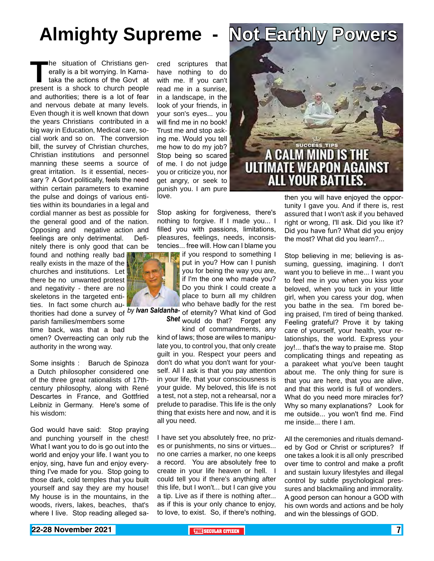# **Almighty Supreme - Not Earthly Powers**

**The situation of Christians generally is a bit worrying. In Karna-<br>taka the actions of the Govt at<br>present is a shock to church people** erally is a bit worrying. In Karnataka the actions of the Govt at present is a shock to church people and authorities; there is a lot of fear and nervous debate at many levels. Even though it is well known that down the years Christians contributed in a big way in Education, Medical care, social work and so on. The conversion bill, the survey of Christian churches, Christian institutions and personnel manning these seems a source of great irritation. Is it essential, necessary ? A Govt politically, feels the need within certain parameters to examine the pulse and doings of various entities within its boundaries in a legal and cordial manner as best as possible for the general good and of the nation. Opposing and negative action and feelings are only detrimental. Definitely there is only good that can be

found and nothing really bad really exists in the maze of the churches and institutions. Let there be no unwanted protest and negativity - there are no skeletons in the targeted entities. In fact some church au-

thorities had done a survey of <sup>by</sup> *lvan Saldanha-* of eternity? What kind of God parish families/members some time back, was that a bad omen? Overreacting can only rub the authority in the wrong way.

Some insights : Baruch de Spinoza a Dutch philosopher considered one of the three great rationalists of 17thcentury philosophy, along with René Descartes in France, and Gottfried Leibniz in Germany. Here's some of his wisdom:

God would have said: Stop praying and punching yourself in the chest! What I want you to do is go out into the world and enjoy your life. I want you to enjoy, sing, have fun and enjoy everything I've made for you. Stop going to those dark, cold temples that you built yourself and say they are my house! My house is in the mountains, in the woods, rivers, lakes, beaches, that's where I live. Stop reading alleged sa-

love. cred scriptures that have nothing to do with me. If you can't read me in a sunrise, in a landscape, in the look of your friends, in your son's eyes... you will find me in no book! Trust me and stop asking me. Would you tell me how to do my job? Stop being so scared of me. I do not judge you or criticize you, nor get angry, or seek to punish you. I am pure

Stop asking for forgiveness, there's nothing to forgive. If I made you... I filled you with passions, limitations, pleasures, feelings, needs, inconsistencies... free will. How can I blame you

**If you respond to something I** put in you? How can I punish you for being the way you are, if I'm the one who made you? Do you think I could create a place to burn all my children who behave badly for the rest

**Shet** would do that? Forget any

kind of commandments, any kind of laws; those are wiles to manipulate you, to control you, that only create guilt in you. Respect your peers and don't do what you don't want for yourself. All I ask is that you pay attention in your life, that your consciousness is your guide. My beloved, this life is not a test, not a step, not a rehearsal, nor a prelude to paradise. This life is the only thing that exists here and now, and it is all you need.

I have set you absolutely free, no prizes or punishments, no sins or virtues... no one carries a marker, no one keeps a record. You are absolutely free to create in your life heaven or hell. I could tell you if there's anything after this life, but I won't... but I can give you a tip. Live as if there is nothing after... as if this is your only chance to enjoy, to love, to exist. So, if there's nothing,



then you will have enjoyed the opportunity I gave you. And if there is, rest assured that I won't ask if you behaved right or wrong, I'll ask. Did you like it? Did you have fun? What did you enjoy the most? What did you learn?...

Stop believing in me; believing is assuming, guessing, imagining. I don't want you to believe in me... I want you to feel me in you when you kiss your beloved, when you tuck in your little girl, when you caress your dog, when you bathe in the sea. I'm bored being praised, I'm tired of being thanked. Feeling grateful? Prove it by taking care of yourself, your health, your relationships, the world. Express your joy!... that's the way to praise me. Stop complicating things and repeating as a parakeet what you've been taught about me. The only thing for sure is that you are here, that you are alive, and that this world is full of wonders. What do you need more miracles for? Why so many explanations? Look for me outside... you won't find me. Find me inside... there I am.

All the ceremonies and rituals demanded by God or Christ or scriptures? If one takes a look it is all only prescribed over time to control and make a profit and sustain luxury lifestyles and illegal control by subtle psychological pressures and blackmailing and immorality. A good person can honour a GOD with his own words and actions and be holy and win the blessings of GOD.

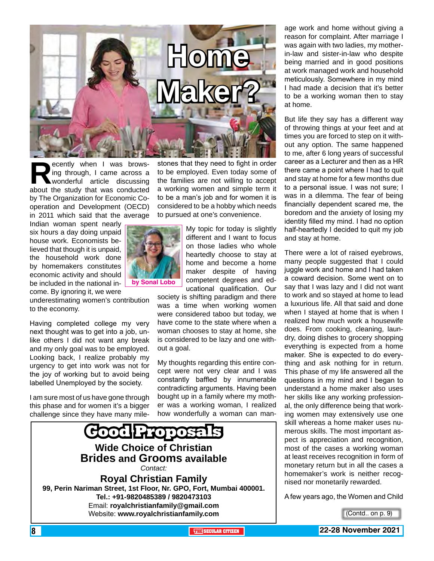

**Recently when I was brows-**<br>ing through, I came across a<br>wonderful article discussing<br>about the study that was conducted ing through, I came across a wonderful article discussing by The Organization for Economic Cooperation and Development (OECD) in 2011 which said that the average

Indian woman spent nearly six hours a day doing unpaid house work. Economists believed that though it is unpaid, the household work done by homemakers constitutes economic activity and should be included in the national income. By ignoring it, we were

underestimating women's contribution to the economy.

Having completed college my very next thought was to get into a job, unlike others I did not want any break and my only goal was to be employed. Looking back, I realize probably my urgency to get into work was not for the joy of working but to avoid being labelled Unemployed by the society.

I am sure most of us have gone through this phase and for women it's a bigger challenge since they have many mile-

stones that they need to fight in order to be employed. Even today some of the families are not willing to accept a working women and simple term it to be a man's job and for women it is considered to be a hobby which needs to pursued at one's convenience.

> My topic for today is slightly different and I want to focus on those ladies who whole heartedly choose to stay at home and become a home maker despite of having competent degrees and educational qualification. Our

society is shifting paradigm and there was a time when working women were considered taboo but today, we have come to the state where when a woman chooses to stay at home, she is considered to be lazy and one without a goal.

My thoughts regarding this entire concept were not very clear and I was constantly baffled by innumerable contradicting arguments. Having been bought up in a family where my mother was a working woman, I realized how wonderfully a woman can man-



age work and home without giving a reason for complaint. After marriage I was again with two ladies, my motherin-law and sister-in-law who despite being married and in good positions at work managed work and household meticulously. Somewhere in my mind I had made a decision that it's better to be a working woman then to stay at home.

But life they say has a different way of throwing things at your feet and at times you are forced to step on it without any option. The same happened to me, after 6 long years of successful career as a Lecturer and then as a HR there came a point where I had to quit and stay at home for a few months due to a personal issue. I was not sure; I was in a dilemma. The fear of being financially dependent scared me, the boredom and the anxiety of losing my identity filled my mind. I had no option half-heartedly I decided to quit my job and stay at home.

There were a lot of raised eyebrows, many people suggested that I could juggle work and home and I had taken a coward decision. Some went on to say that I was lazy and I did not want to work and so stayed at home to lead a luxurious life. All that said and done when I stayed at home that is when I realized how much work a housewife does. From cooking, cleaning, laundry, doing dishes to grocery shopping everything is expected from a home maker. She is expected to do everything and ask nothing for in return. This phase of my life answered all the questions in my mind and I began to understand a home maker also uses her skills like any working professional, the only difference being that working women may extensively use one skill whereas a home maker uses numerous skills. The most important aspect is appreciation and recognition, most of the cases a working woman at least receives recognition in form of monetary return but in all the cases a homemaker's work is neither recognised nor monetarily rewarded.

A few years ago, the Women and Child



8 **THE SECULAR CITIZEN 22-28 November 2021**

<sup>(</sup>Contd.. on p. 9)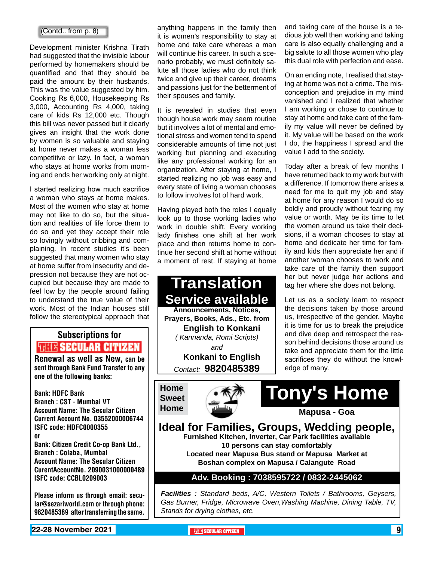#### (Contd.. from p. 8)

Development minister Krishna Tirath had suggested that the invisible labour performed by homemakers should be quantified and that they should be paid the amount by their husbands. This was the value suggested by him. Cooking Rs 6,000, Housekeeping Rs 3,000, Accounting Rs 4,000, taking care of kids Rs 12,000 etc. Though this bill was never passed but it clearly gives an insight that the work done by women is so valuable and staying at home never makes a woman less competitive or lazy. In fact, a woman who stays at home works from morning and ends her working only at night.

I started realizing how much sacrifice a woman who stays at home makes. Most of the women who stay at home may not like to do so, but the situation and realities of life force them to do so and yet they accept their role so lovingly without cribbing and complaining. In recent studies it's been suggested that many women who stay at home suffer from insecurity and depression not because they are not occupied but because they are made to feel low by the people around failing to understand the true value of their work. Most of the Indian houses still follow the stereotypical approach that

## Subscriptions for **THIT'S SECULAR CITIZEN**<br>Renewal as well as New, can be

sent through Bank Fund Transfer to any one of the following banks:

Bank: HDFC Bank Branch : CST - Mumbai VT Account Name: The Secular Citizen Current Account No. 03552000006744 ISFC code: HDFC0000355 or Bank: Citizen Credit Co-op Bank Ltd., Branch : Colaba, Mumbai Account Name: The Secular Citizen CurentAccountNo. 2090031000000489 ISFC code: CCBL0209003

Please inform us through email: secular@sezariworld.com or through phone: 9820485389 after transferring the same.

anything happens in the family then it is women's responsibility to stay at home and take care whereas a man will continue his career. In such a scenario probably, we must definitely salute all those ladies who do not think twice and give up their career, dreams and passions just for the betterment of their spouses and family.

It is revealed in studies that even though house work may seem routine but it involves a lot of mental and emotional stress and women tend to spend considerable amounts of time not just working but planning and executing like any professional working for an organization. After staying at home, I started realizing no job was easy and every state of living a woman chooses to follow involves lot of hard work.

Having played both the roles I equally look up to those working ladies who work in double shift. Every working lady finishes one shift at her work place and then returns home to continue her second shift at home without a moment of rest. If staying at home

**Translation Service available Announcements, Notices, Prayers, Books, Ads., Etc. from English to Konkani** *( Kannanda, Romi Scripts) and* **Konkani to English** *Contact:* **9820485389**

**Home Sweet** 



and taking care of the house is a tedious job well then working and taking care is also equally challenging and a big salute to all those women who play this dual role with perfection and ease.

On an ending note, I realised that staying at home was not a crime. The misconception and prejudice in my mind vanished and I realized that whether I am working or chose to continue to stay at home and take care of the family my value will never be defined by it. My value will be based on the work I do, the happiness I spread and the value I add to the society.

Today after a break of few months I have returned back to my work but with a difference. If tomorrow there arises a need for me to quit my job and stay at home for any reason I would do so boldly and proudly without fearing my value or worth. May be its time to let the women around us take their decisions, if a woman chooses to stay at home and dedicate her time for family and kids then appreciate her and if another woman chooses to work and take care of the family then support her but never judge her actions and tag her where she does not belong.

Let us as a society learn to respect the decisions taken by those around us, irrespective of the gender. Maybe it is time for us to break the prejudice and dive deep and retrospect the reason behind decisions those around us take and appreciate them for the little sacrifices they do without the knowledge of many.

**Tony's Home**

**Ideal for Families, Groups, Wedding people, Furnished Kitchen, Inverter, Car Park facilities available 10 persons can stay comfortably Located near Mapusa Bus stand or Mapusa Market at Boshan complex on Mapusa / Calangute Road**

#### **Adv. Booking : 7038595722 / 0832-2445062**

*Facilities : Standard beds, A/C, Western Toilets / Bathrooms, Geysers, Gas Burner, Fridge, Microwave Oven,Washing Machine, Dining Table, TV, Stands for drying clothes, etc.*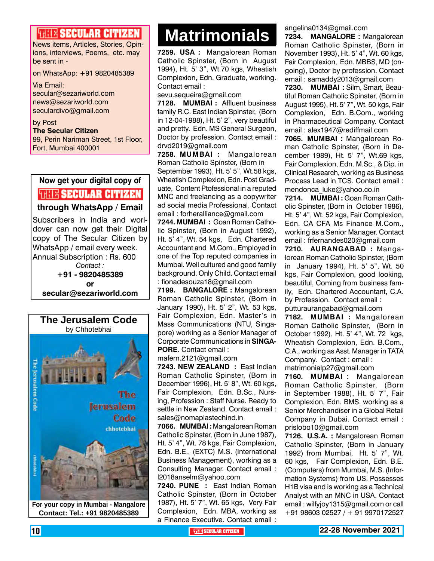### **HELLE SECULAR CITIZEN**

News items, Articles, Stories, Opinions, interviews, Poems, etc. may be sent in -

on WhatsApp: +91 9820485389

Via Email: secular@sezariworld.com news@sezariworld.com seculardivo@gmail.com

by Post **The Secular Citizen** 99, Perin Nariman Street, 1st Floor, Fort, Mumbai 400001

### **Now get your digital copy of WHE SECULAR CITIZEN**

**through WhatsApp / Email**

Subscribers in India and worldover can now get their Digital copy of The Secular Citizen by WhatsApp / email every week. Annual Subscription : Rs. 600 *Contact :* **+91 - 9820485389 or secular@sezariworld.com**



**Matrimonials Matrimonials**

**7259. USA :** Mangalorean Roman Catholic Spinster, (Born in August 1994), Ht. 5' 3", Wt.70 kgs, Wheatish Complexion, Edn. Graduate, working. Contact email :

sevu.sequeira@gmail.com

**7128. MUMBAI :** Affluent business family R.C. East Indian Spinster, (Born in 12-04-1988), Ht. 5' 2", very beautiful and pretty. Edn. MS General Surgeon, Doctor by profession. Contact email : drvd2019@gmail.com

**7258. MUMBAI :** Mangalorean Roman Catholic Spinster, (Born in September 1993), Ht. 5' 5", Wt.58 kgs, Wheatish Complexion, Edn. Post Graduate, Content Ptofessional in a reputed MNC and freelancing as a copywriter ad social media Professional. Contact email : forheralliance@gmail.com

**7244. MUMBAI :** Goan Roman Catholic Spinster, (Born in August 1992), Ht. 5' 4", Wt. 54 kgs, Edn. Chartered Accountant and M.Com., Employed in one of the Top reputed companies in Mumbai. Well cultured and good family background. Only Child. Contact email : fionadesouza18@gmail.com

**7199. BANGALORE :** Mangalorean Roman Catholic Spinster, (Born in January 1990), Ht. 5' 2", Wt. 53 kgs, Fair Complexion, Edn. Master's in Mass Communications (NTU, Singapore) working as a Senior Manager of Corporate Communications in **SINGA-PORE**. Contact email :

mafern.2121@gmail.com

**7243. NEW ZEALAND :** East Indian Roman Catholic Spinster, (Born in December 1996), Ht. 5' 8", Wt. 60 kgs, Fair Complexion, Edn. B.Sc., Nursing, Profession : Staff Nurse. Ready to settle in New Zealand. Contact email : sales@nomaplastechind.in

**7066. MUMBAI :** Mangalorean Roman Catholic Spinster, (Born in June 1987), Ht. 5' 4", Wt. 78 kgs, Fair Complexion, Edn. B.E., (EXTC) M.S. (International Business Management), working as a Consulting Manager. Contact email : l2018anselm@yahoo.com

**7240. PUNE :** East Indian Roman Catholic Spinster, (Born in October 1987), Ht. 5' 7", Wt. 65 kgs, Very Fair Complexion, Edn. MBA, working as a Finance Executive. Contact email : angelina0134@gmail.com

**7234. MANGALORE :** Mangalorean Roman Catholic Spinster, (Born in November 1993), Ht. 5' 4", Wt. 60 kgs, Fair Complexion, Edn. MBBS, MD (ongoing), Doctor by profession. Contact email : samaddy2013@gmail.com

**7230. MUMBAI :** Silm, Smart, Beautiful Roman Catholic Spinster, (Born in August 1995), Ht. 5' 7", Wt. 50 kgs, Fair Complexion, Edn. B.Com., working in Pharmaceutical Company. Contact email : alex1947@rediffmail.com

**7065. MUMBAI :** Mangalorean Roman Catholic Spinster, (Born in December 1989), Ht. 5' 7", Wt.69 kgs, Fair Complexion, Edn. M.Sc., & Dip. in Clinical Research, working as Business Process Lead in TCS. Contact email : mendonca\_luke@yahoo.co.in

**7214. MUMBAI :** Goan Roman Catholic Spinster, (Born in October 1986), Ht. 5' 4", Wt. 52 kgs, Fair Complexion, Edn. CA CFA Ms Finance M.Com., working as a Senior Manager. Contact email : frfernandes020@gmail.com

**7210. AURANGABAD :** Mangalorean Roman Catholic Spinster, (Born in January 1994), Ht. 5' 5", Wt. 50 kgs, Fair Complexion, good looking, beautiful, Coming from business family, Edn. Chartered Accountant, C.A. by Profession. Contact email : putturaurangabad@gmail.com

**7182. MUMBAI :** Mangalorean Roman Catholic Spinster, (Born in October 1992), Ht. 5' 4", Wt. 72 kgs, Wheatish Complexion, Edn. B.Com., C.A., working as Asst. Manager in TATA Company. Contact : email :

matrimonialp27@gmail.com **7160. MUMBAI :** Mangalorean Roman Catholic Spinster, (Born in September 1988), Ht. 5' 7", Fair Complexion, Edn. BMS, working as a Senior Merchandiser in a Global Retail Company in Dubai. Contact email :

prislobo10@gmail.com

**7126. U.S.A. :** Mangalorean Roman Catholic Spinster, (Born in January 1992) from Mumbai, Ht. 5' 7", Wt. 60 kgs, Fair Complexion, Edn. B.E. (Computers) from Mumbai, M.S. (Information Systems) from US. Possesses H1B visa and is working as a Technical Analyst with an MNC in USA. Contact email : wilfyjoy1315@gmail.com or call +91 98603 02527 / + 91 9970172527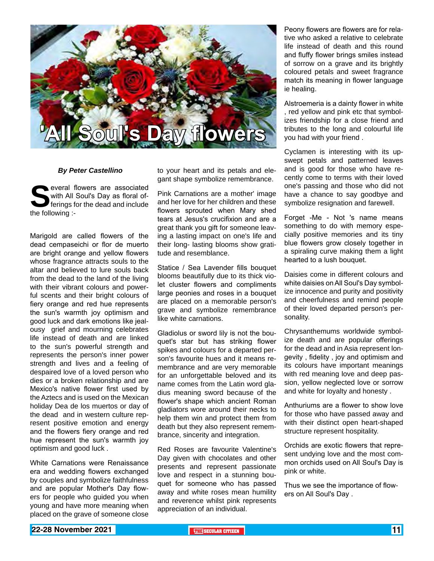

#### *By Peter Castellino*

**Several flowers are associated with All Soul's Day as floral of-<br>ferings for the dead and include<br>the following :**with All Soul's Day as floral offerings for the dead and include the following :-

Marigold are called flowers of the dead cempaseichi or flor de muerto are bright orange and yellow flowers whose fragrance attracts souls to the altar and believed to lure souls back from the dead to the land of the living with their vibrant colours and powerful scents and their bright colours of fiery orange and red hue represents the sun's warmth joy optimism and good luck and dark emotions like jealousy grief and mourning celebrates life instead of death and are linked to the sun's powerful strength and represents the person's inner power strength and lives and a feeling of despaired love of a loved person who dies or a broken relationship and are Mexico's native flower first used by the Aztecs and is used on the Mexican holiday Dea de los muertos or day of the dead and in western culture represent positive emotion and energy and the flowers fiery orange and red hue represent the sun's warmth joy optimism and good luck .

White Carnations were Renaissance era and wedding flowers exchanged by couples and symbolize faithfulness and are popular Mother's Day flowers for people who guided you when young and have more meaning when placed on the grave of someone close

to your heart and its petals and elegant shape symbolize remembrance.

Pink Carnations are a mother' image and her love for her children and these flowers sprouted when Mary shed tears at Jesus's crucifixion and are a great thank you gift for someone leaving a lasting impact on one's life and their long- lasting blooms show gratitude and resemblance.

Statice / Sea Lavender fills bouquet blooms beautifully due to its thick violet cluster flowers and compliments large peonies and roses in a bouquet are placed on a memorable person's grave and symbolize remembrance like white carnations.

Gladiolus or sword lily is not the bouquet's star but has striking flower spikes and colours for a departed person's favourite hues and it means remembrance and are very memorable for an unforgettable beloved and its name comes from the Latin word gladius meaning sword because of the flower's shape which ancient Roman gladiators wore around their necks to help them win and protect them from death but they also represent remembrance, sincerity and integration.

Red Roses are favourite Valentine's Day given with chocolates and other presents and represent passionate love and respect in a stunning bouquet for someone who has passed away and white roses mean humility and reverence whilst pink represents appreciation of an individual.

Peony flowers are flowers are for relative who asked a relative to celebrate life instead of death and this round and fluffy flower brings smiles instead of sorrow on a grave and its brightly coloured petals and sweet fragrance match its meaning in flower language ie healing.

Alstroemeria is a dainty flower in white , red yellow and pink etc that symbolizes friendship for a close friend and tributes to the long and colourful life you had with your friend .

Cyclamen is interesting with its upswept petals and patterned leaves and is good for those who have recently come to terms with their loved one's passing and those who did not have a chance to say goodbye and symbolize resignation and farewell.

Forget -Me - Not 's name means something to do with memory especially positive memories and its tiny blue flowers grow closely together in a spiraling curve making them a light hearted to a lush bouquet.

Daisies come in different colours and white daisies on All Soul's Day symbolize innocence and purity and positivity and cheerfulness and remind people of their loved departed person's personality.

Chrysanthemums worldwide symbolize death and are popular offerings for the dead and in Asia represent longevity , fidelity , joy and optimism and its colours have important meanings with red meaning love and deep passion, yellow neglected love or sorrow and white for loyalty and honesty .

Anthuriums are a flower to show love for those who have passed away and with their distinct open heart-shaped structure represent hospitality.

Orchids are exotic flowers that represent undying love and the most common orchids used on All Soul's Day is pink or white.

Thus we see the importance of flowers on All Soul's Day .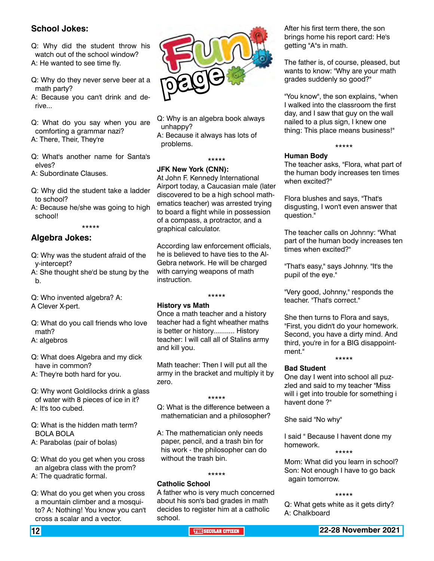#### **School Jokes:**

Q: Why did the student throw his watch out of the school window? A: He wanted to see time fly.

Q: Why do they never serve beer at a math party?

A: Because you can't drink and derive.

Q: What do you say when you are comforting a grammar nazi?

A: There, Their, They're

Q: What's another name for Santa's elves?

A: Subordinate Clauses.

- Q: Why did the student take a ladder to school?
- A: Because he/she was going to high school!

\*\*\*\*\*

### **Algebra Jokes:**

- Q: Why was the student afraid of the y-intercept?
- A: She thought she'd be stung by the b.
- Q: Who invented algebra? A:
- A Clever X-pert.

Q: What do you call friends who love math?

A: algebros

Q: What does Algebra and my dick have in common?

A: They're both hard for you.

Q: Why wont Goldilocks drink a glass of water with 8 pieces of ice in it? A: It's too cubed.

Q: What is the hidden math term? BOLA BOLA

A: Parabolas (pair of bolas)

Q: What do you get when you cross an algebra class with the prom? A: The quadratic formal.

Q: What do you get when you cross a mountain climber and a mosquito? A: Nothing! You know you can't cross a scalar and a vector.



Q: Why is an algebra book always unhappy? A: Because it always has lots of problems.

#### **JFK New York (CNN):**

At John F. Kennedy International Airport today, a Caucasian male (later discovered to be a high school mathematics teacher) was arrested trying to board a flight while in possession of a compass, a protractor, and a graphical calculator.

\*\*\*\*\*

According law enforcement officials, he is believed to have ties to the Al-Gebra network. He will be charged with carrying weapons of math instruction.

\*\*\*\*\*

#### **History vs Math**

Once a math teacher and a history teacher had a fight wheather maths is better or history........... History teacher: I will call all of Stalins army and kill you.

Math teacher: Then I will put all the army in the bracket and multiply it by zero.

#### \*\*\*\*\*

Q: What is the difference between a mathematician and a philosopher?

A: The mathematician only needs paper, pencil, and a trash bin for his work - the philosopher can do without the trash bin.

#### \*\*\*\*\*

#### **Catholic School**

A father who is very much concerned about his son's bad grades in math decides to register him at a catholic school.

After his first term there, the son brings home his report card: He's getting "A"s in math.

The father is, of course, pleased, but wants to know: "Why are your math grades suddenly so good?"

"You know", the son explains, "when I walked into the classroom the first day, and I saw that guy on the wall nailed to a plus sign, I knew one thing: This place means business!"

#### \*\*\*\*\*

#### **Human Body**

The teacher asks, "Flora, what part of the human body increases ten times when excited?"

Flora blushes and says, "That's disgusting, I won't even answer that question."

The teacher calls on Johnny: "What part of the human body increases ten times when excited?"

"That's easy," says Johnny. "It's the pupil of the eye."

"Very good, Johnny," responds the teacher. "That's correct."

She then turns to Flora and says, "First, you didn't do your homework. Second, you have a dirty mind. And third, you're in for a BIG disappointment." \*\*\*\*\*

#### **Bad Student**

One day I went into school all puzzled and said to my teacher "Miss will i get into trouble for something i havent done ?"

She said "No why"

I said " Because I havent done my homework. \*\*\*\*\*

Mom: What did you learn in school? Son: Not enough I have to go back again tomorrow.

#### \*\*\*\*\*

Q: What gets white as it gets dirty? A: Chalkboard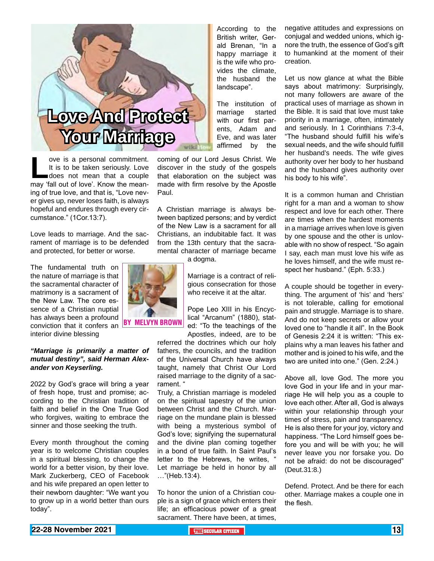

ove is a personal commitment.<br>
It is to be taken seriously. Love<br>
does not mean that a couple<br>
may 'fall out of love'. Know the mean-It is to be taken seriously. Love does not mean that a couple ing of true love, and that is, "Love never gives up, never loses faith, is always hopeful and endures through every circumstance." (1Cor.13:7).

Love leads to marriage. And the sacrament of marriage is to be defended and protected, for better or worse.

The fundamental truth on the nature of marriage is that the sacramental character of matrimony is a sacrament of the New Law. The core essence of a Christian nuptial has always been a profound conviction that it confers an **BY MELVYN BR** interior divine blessing

#### *"Marriage is primarily a matter of mutual destiny", said Herman Alexander von Keyserling.*

2022 by God's grace will bring a year of fresh hope, trust and promise; according to the Christian tradition of faith and belief in the One True God who forgives, waiting to embrace the sinner and those seeking the truth.

Every month throughout the coming year is to welcome Christian couples in a spiritual blessing, to change the world for a better vision, by their love. Mark Zuckerberg, CEO of Facebook and his wife prepared an open letter to their newborn daughter: "We want you to grow up in a world better than ours today".

According to the British writer, Gerald Brenan, "In a happy marriage it is the wife who provides the climate, the husband the landscape".

The institution of marriage started with our first parents, Adam and Eve, and was later affirmed by the

coming of our Lord Jesus Christ. We discover in the study of the gospels that elaboration on the subject was made with firm resolve by the Apostle Paul.

A Christian marriage is always between baptized persons; and by verdict of the New Law is a sacrament for all Christians, an indubitable fact. It was from the 13th century that the sacramental character of marriage became

a dogma.

Marriage is a contract of religious consecration for those who receive it at the altar.

Pope Leo XIII in his Encyclical "Arcanum" (1880), stated: "To the teachings of the Apostles, indeed, are to be

referred the doctrines which our holy fathers, the councils, and the tradition of the Universal Church have always taught, namely that Christ Our Lord raised marriage to the dignity of a sacrament. "

Truly, a Christian marriage is modeled on the spiritual tapestry of the union between Christ and the Church. Marriage on the mundane plain is blessed with being a mysterious symbol of God's love; signifying the supernatural and the divine plan coming together in a bond of true faith. In Saint Paul's letter to the Hebrews, he writes, " Let marriage be held in honor by all …"(Heb.13:4).

To honor the union of a Christian couple is a sign of grace which enters their life; an efficacious power of a great sacrament. There have been, at times, negative attitudes and expressions on conjugal and wedded unions, which ignore the truth, the essence of God's gift to humankind at the moment of their creation.

Let us now glance at what the Bible says about matrimony: Surprisingly, not many followers are aware of the practical uses of marriage as shown in the Bible. It is said that love must take priority in a marriage, often, intimately and seriously. In 1 Corinthians 7:3-4, "The husband should fulfill his wife's sexual needs, and the wife should fulfill her husband's needs. The wife gives authority over her body to her husband and the husband gives authority over his body to his wife".

It is a common human and Christian right for a man and a woman to show respect and love for each other. There are times when the hardest moments in a marriage arrives when love is given by one spouse and the other is unlovable with no show of respect. "So again I say, each man must love his wife as he loves himself, and the wife must respect her husband." (Eph. 5:33.)

A couple should be together in everything. The argument of 'his' and 'hers' is not tolerable, calling for emotional pain and struggle. Marriage is to share. And do not keep secrets or allow your loved one to "handle it all". In the Book of Genesis 2:24 it is written: "This explains why a man leaves his father and mother and is joined to his wife, and the two are united into one." (Gen. 2:24.)

Above all, love God. The more you love God in your life and in your marriage He will help you as a couple to love each other. After all, God is always within your relationship through your times of stress, pain and transparency. He is also there for your joy, victory and happiness. "The Lord himself goes before you and will be with you; he will never leave you nor forsake you. Do not be afraid: do not be discouraged" (Deut.31:8.)

Defend. Protect. And be there for each other. Marriage makes a couple one in the flesh.

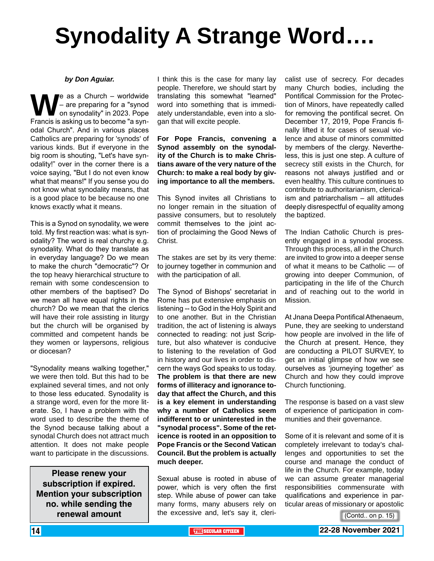# **Synodality A Strange Word….**

#### *by Don Aguiar.*

**W**e as a Church – worldwide<br>
— are preparing for a "synod<br>
Francis is asking us to become "a syn-– are preparing for a "synod on synodality" in 2023. Pope Francis is asking us to become "a synodal Church". And in various places Catholics are preparing for 'synods' of various kinds. But if everyone in the big room is shouting, "Let's have synodality!" over in the corner there is a voice saying, "But I do not even know what that means!" If you sense you do not know what synodality means, that is a good place to be because no one knows exactly what it means.

This is a Synod on synodality, we were told. My first reaction was: what is synodality? The word is real churchy e.g. synodality. What do they translate as in everyday language? Do we mean to make the church "democratic"? Or the top heavy hierarchical structure to remain with some condescension to other members of the baptised? Do we mean all have equal rights in the church? Do we mean that the clerics will have their role assisting in liturgy but the church will be organised by committed and competent hands be they women or laypersons, religious or diocesan?

"Synodality means walking together," we were then told. But this had to be explained several times, and not only to those less educated. Synodality is a strange word, even for the more literate. So, I have a problem with the word used to describe the theme of the Synod because talking about a synodal Church does not attract much attention. It does not make people want to participate in the discussions.

**Please renew your subscription if expired. Mention your subscription no. while sending the renewal amount**

I think this is the case for many lay people. Therefore, we should start by translating this somewhat "learned" word into something that is immediately understandable, even into a slogan that will excite people.

**For Pope Francis, convening a Synod assembly on the synodality of the Church is to make Christians aware of the very nature of the Church: to make a real body by giving importance to all the members.**

This Synod invites all Christians to no longer remain in the situation of passive consumers, but to resolutely commit themselves to the joint action of proclaiming the Good News of Christ.

The stakes are set by its very theme: to journey together in communion and with the participation of all.

The Synod of Bishops' secretariat in Rome has put extensive emphasis on listening -- to God in the Holy Spirit and to one another. But in the Christian tradition, the act of listening is always connected to reading: not just Scripture, but also whatever is conducive to listening to the revelation of God in history and our lives in order to discern the ways God speaks to us today. **The problem is that there are new forms of illiteracy and ignorance today that affect the Church, and this is a key element in understanding why a number of Catholics seem indifferent to or uninterested in the "synodal process". Some of the reticence is rooted in an opposition to Pope Francis or the Second Vatican Council. But the problem is actually much deeper.**

Sexual abuse is rooted in abuse of power, which is very often the first step. While abuse of power can take many forms, many abusers rely on the excessive and, let's say it, clericalist use of secrecy. For decades many Church bodies, including the Pontifical Commission for the Protection of Minors, have repeatedly called for removing the pontifical secret. On December 17, 2019, Pope Francis finally lifted it for cases of sexual violence and abuse of minors committed by members of the clergy. Nevertheless, this is just one step. A culture of secrecy still exists in the Church, for reasons not always justified and or even healthy. This culture continues to contribute to authoritarianism, clericalism and patriarchalism – all attitudes deeply disrespectful of equality among the baptized.

The Indian Catholic Church is presently engaged in a synodal process. Through this process, all in the Church are invited to grow into a deeper sense of what it means to be Catholic — of growing into deeper Communion, of participating in the life of the Church and of reaching out to the world in Mission.

At Jnana Deepa Pontifical Athenaeum, Pune, they are seeking to understand how people are involved in the life of the Church at present. Hence, they are conducting a PILOT SURVEY, to get an initial glimpse of how we see ourselves as 'journeying together' as Church and how they could improve Church functioning.

The response is based on a vast slew of experience of participation in communities and their governance.

Some of it is relevant and some of it is completely irrelevant to today's challenges and opportunities to set the course and manage the conduct of life in the Church. For example, today we can assume greater managerial responsibilities commensurate with qualifications and experience in particular areas of missionary or apostolic

(Contd.. on p. 15)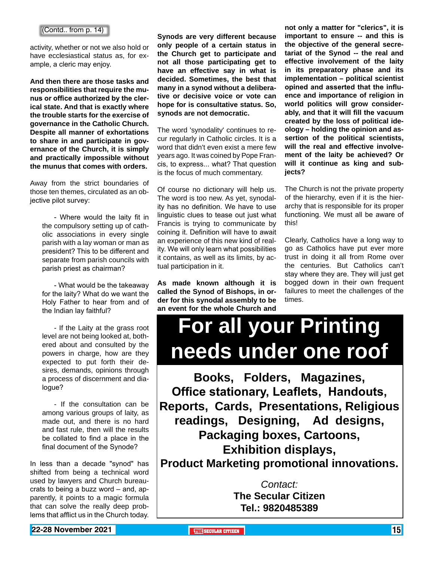#### (Contd.. from p. 14)

activity, whether or not we also hold or have ecclesiastical status as, for example, a cleric may enjoy.

**And then there are those tasks and responsibilities that require the munus or office authorized by the clerical state. And that is exactly where the trouble starts for the exercise of governance in the Catholic Church. Despite all manner of exhortations to share in and participate in governance of the Church, it is simply and practically impossible without the munus that comes with orders.**

Away from the strict boundaries of those ten themes, circulated as an objective pilot survey:

> - Where would the laity fit in the compulsory setting up of catholic associations in every single parish with a lay woman or man as president? This to be different and separate from parish councils with parish priest as chairman?

> - What would be the takeaway for the laity? What do we want the Holy Father to hear from and of the Indian lay faithful?

> - If the Laity at the grass root level are not being looked at, bothered about and consulted by the powers in charge, how are they expected to put forth their desires, demands, opinions through a process of discernment and dialogue?

> - If the consultation can be among various groups of laity, as made out, and there is no hard and fast rule, then will the results be collated to find a place in the final document of the Synode?

In less than a decade "synod" has shifted from being a technical word used by lawyers and Church bureaucrats to being a buzz word – and, apparently, it points to a magic formula that can solve the really deep problems that afflict us in the Church today.

**Synods are very different because only people of a certain status in the Church get to participate and not all those participating get to have an effective say in what is decided. Sometimes, the best that many in a synod without a deliberative or decisive voice or vote can hope for is consultative status. So, synods are not democratic.**

The word 'synodality' continues to recur regularly in Catholic circles. It is a word that didn't even exist a mere few years ago. It was coined by Pope Francis, to express... what? That question is the focus of much commentary.

Of course no dictionary will help us. The word is too new. As yet, synodality has no definition. We have to use linguistic clues to tease out just what Francis is trying to communicate by coining it. Definition will have to await an experience of this new kind of reality. We will only learn what possibilities it contains, as well as its limits, by actual participation in it.

**As made known although it is called the Synod of Bishops, in order for this synodal assembly to be an event for the whole Church and** 

**not only a matter for "clerics", it is important to ensure -- and this is the objective of the general secretariat of the Synod -- the real and effective involvement of the laity in its preparatory phase and its implementation – political scientist opined and asserted that the influence and importance of religion in world politics will grow considerably, and that it will fill the vacuum created by the loss of political ideology – holding the opinion and assertion of the political scientists, will the real and effective involvement of the laity be achieved? Or will it continue as king and subjects?**

The Church is not the private property of the hierarchy, even if it is the hierarchy that is responsible for its proper functioning. We must all be aware of this!

Clearly, Catholics have a long way to go as Catholics have put ever more trust in doing it all from Rome over the centuries. But Catholics can't stay where they are. They will just get bogged down in their own frequent failures to meet the challenges of the times.

# **For all your Printing needs under one roof**

**Books, Folders, Magazines, Office stationary, Leaflets, Handouts, Reports, Cards, Presentations, Religious readings, Designing, Ad designs, Packaging boxes, Cartoons, Exhibition displays, Product Marketing promotional innovations.**

> *Contact:* **The Secular Citizen Tel.: 9820485389**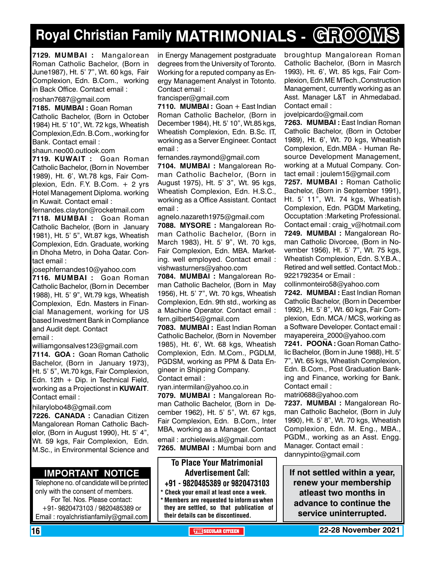# **Royal Christian Family MATRIMONIALS - GROOMS**

**7129. MUMBAI :** Mangalorean Roman Catholic Bachelor, (Born in June1987), Ht. 5' 7", Wt. 60 kgs, Fair Complexion, Edn. B.Com., working in Back Office. Contact email :

roshan7687@gmail.com

**7185. MUMBAI :** Goan Roman Catholic Bachelor, (Born in October 1984) Ht. 5' 10", Wt. 72 kgs, Wheatish Complexion,Edn. B.Com., working for Bank. Contact email :

shaun.neo00.outlook.com

**7119. KUWAIT: Goan Roman** Catholic Bachelor, (Born in November 1989), Ht. 6', Wt.78 kgs, Fair Complexion, Edn. F.Y. B.Com. + 2 yrs Hotel Management Diploma. working in Kuwait. Contact email :

fernandes.clayton@rocketmail.com **7118. MUMBAI :** Goan Roman Catholic Bachelor, (Born in January 1981), Ht. 5' 5", Wt.87 kgs, Wheatish Complexion, Edn. Graduate, working in Dhoha Metro, in Doha Qatar. Contact email :

josephfernandes10@yahoo.com

**7116. MUMBAI :** Goan Roman Catholic Bachelor, (Born in December 1988), Ht. 5' 9", Wt.79 kgs, Wheatish Complexion, Edn. Masters in Financial Management, working for US based Investment Bank in Compliance and Audit dept. Contact email :

williamgonsalves123@gmail.com **7114. GOA :** Goan Roman Catholic Bachelor, (Born in January 1973), Ht. 5' 5", Wt.70 kgs, Fair Complexion, Edn. 12th  $+$  Dip. in Technical Field, working as a Projectionst in **KUWAIT**. Contact email :

hilarylobo48@gmail.com

**7226. CANADA :** Canadian Citizen Mangalorean Roman Catholic Bachelor, (Born in August 1990), Ht. 5' 4", Wt. 59 kgs, Fair Complexion, Edn. M.Sc., in Environmental Science and

#### **Important Notice**

Telephone no. of candidate will be printed only with the consent of members. For Tel. Nos. Please contact: +91- 9820473103 / 9820485389 or Email : royalchristianfamily@gmail.com

in Energy Management postgraduate degrees from the University of Toronto. Working for a reputed company as Energy Management Analyst in Totonto. Contact email :

francisper@gmail.com

**7110. MUMBAI :** Goan + East Indian Roman Catholic Bachelor, (Born in December 1984), Ht. 5' 10", Wt.85 kgs, Wheatish Complexion, Edn. B.Sc. IT, working as a Server Engineer. Contact email :

fernandes.raymond@gmail.com

**7104. MUMBAI :** Mangalorean Roman Catholic Bachelor, (Born in August 1975), Ht. 5' 3", Wt. 95 kgs, Wheatish Complexion, Edn. H.S.C., working as a Office Assistant. Contact email :

agnelo.nazareth1975@gmail.com

**7088. MYSORE :** Mangalorean Roman Catholic Bachelor, (Born in March 1983), Ht. 5' 9", Wt. 70 kgs, Fair Complexion, Edn. MBA. Marketing. well employed. Contact email : vishwasturners@yahoo.com

**7084. MUMBAI :** Mangalorean Roman Catholic Bachelor, (Born in May 1956), Ht. 5' 7", Wt. 70 kgs, Wheatish Complexion, Edn. 9th std., working as a Machine Operator. Contact email : fern.gilbert54@gmail.com

**7083. MUMBAI :** East Indian Roman Catholic Bachelor, (Born in November 1985), Ht. 6', Wt. 68 kgs, Wheatish Complexion, Edn. M.Com., PGDLM, PGDSM, working as PPM & Data Engineer in Shipping Company. Contact email :

ryan.intermilan@yahoo.co.in

**7079. MUMBAI :** Mangalorean Roman Catholic Bachelor, (Born in December 1962), Ht. 5' 5", Wt. 67 kgs, Fair Complexion, Edn. B.Com., Inter MBA, working as a Manager. Contact email : archielewis.al@gmail.com

**7265. MUMBAI :** Mumbai born and

To Place Your Matrimonial Advertisement Call: +91 - 9820485389 or 9820473103

\* Check your email at least once a week. \* Members are requested to inform us when they are settled, so that publication of their details can be discontinued.

broughtup Mangalorean Roman Catholic Bachelor, (Born in Masrch 1993), Ht. 6', Wt. 85 kgs, Fair Complexion, Edn.ME MTech.,Construction Management, currently working as an Asst. Manager L&T in Ahmedabad. Contact email :

jovelpicardo@gmail.com

**7263. MUMBAI :** East Indian Roman Catholic Bachelor, (Born in October 1989), Ht. 6', Wt. 70 kgs, Wheatish Complexion, Edn.MBA - Human Resource Development Management, working at a Mutual Company. Contact email : joulem15@gmail.com

**7257. MUMBAI :** Roman Catholic Bachelor, (Born in September 1991), Ht. 5' 11", Wt. 74 kgs, Wheatish Complexion, Edn. PGDM Marketing, Occuptation :Marketing Professional. Contact email : craig\_v@hotmail.com **7249. MUMBAI :** Mangalorean Roman Catholic Divorcee, (Born in November 1956), Ht. 5' 7", Wt. 75 kgs, Wheatish Complexion, Edn. S.Y.B.A., Retired and well settled. Contact Mob.: 9221792354 or Email :

collinmonteiro58@yahoo.com

**7242. MUMBAI :** East Indian Roman Catholic Bachelor, (Born in December 1992), Ht. 5' 8", Wt. 60 kgs, Fair Complexion, Edn. MCA / MCS, working as a Software Developer. Contact email : mayapereira\_2000@yahoo.com

**7241. POO NA :** Goan Roman Catholic Bachelor, (Born in June 1988), Ht. 5' 7", Wt. 65 kgs, Wheatish Complexion, Edn. B.Com., Post Graduation Banking and Finance, working for Bank. Contact email :

matri0688@yahoo.com

**7237. MUMBAI :** Mangalorean Roman Catholic Bachelor, (Born in July 1990), Ht. 5' 8", Wt. 70 kgs, Wheatish Complexion, Edn. M. Eng., MBA., PGDM., working as an Asst. Engg. Manager. Contact email : dannypinto@gmail.com

**If not settled within a year, renew your membership atleast two months in advance to continue the service uninterrupted.**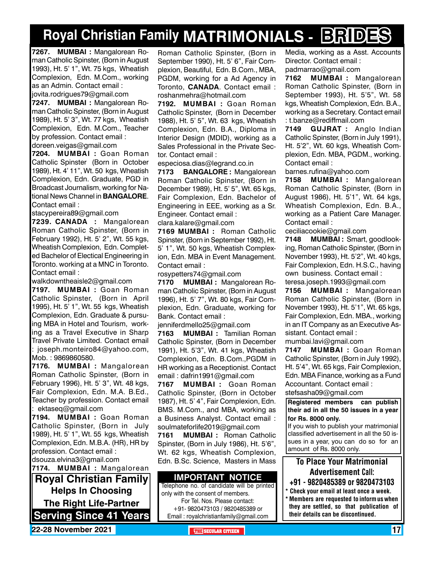# **Royal Christian Family MATRIMONIALS - BRIDES**

**7267. MUMBAI :** Mangalorean Roman Catholic Spinster, (Born in August 1993), Ht. 5' 1", Wt. 75 kgs, Wheatish Complexion, Edn. M.Com., working as an Admin. Contact email : jovita.rodrigues79@gmail.com

**7247. MUMBAI :** Mangalorean Roman Catholic Spinster, (Born in August 1989), Ht. 5' 3", Wt. 77 kgs, Wheatish Complexion, Edn. M.Com., Teacher by profession. Contact email : doreen.veigas@gmail.com

**7204. MUMBAI :** Goan Roman Catholic Spinster (Born in October 1989), Ht. 4' 11", Wt. 50 kgs, Wheatish Complexion, Edn. Graduate, PGD in Broadcast Journalism, working for National News Channel in **Bangalore**. Contact email :

stacypereira89@gmail.com

**7239. CANADA :** Mangalorean Roman Catholic Spinster, (Born in February 1992), Ht. 5' 2", Wt. 55 kgs, Wheatish Complexion, Edn. Completed Bachelor of Electical Engineering in Toronto. working at a MNC in Toronto. Contact email :

walkdowntheaisle2@gmail.com

**7197. MUMBAI :** Goan Roman Catholic Spinster, (Born in April 1995), Ht. 5' 1", Wt. 55 kgs, Wheatish Complexion, Edn. Graduate & pursuing MBA in Hotel and Tourism, working as a Travel Executive in Sharp Travel Private Limited. Contact email : joseph.monteiro84@yahoo.com, Mob. : 9869860580.

**7176. MUMBAI :** Mangalorean Roman Catholic Spinster, (Born in February 1996), Ht. 5' 3", Wt. 48 kgs, Fair Complexion, Edn. M.A. B.Ed., Teacher by profession. Contact email : ektaseq@gmail.com

**7194. MUMBAI :** Goan Roman Catholic Spinster, (Born in July 1989), Ht. 5' 1", Wt. 55 kgs, Wheatish Complexion, Edn. M.B.A. (HR), HR by profession. Contact email : dsouza.elvina3@gmail.com

**Royal Christian Family Helps In Choosing The Right Life-Partner Serving Since 41 Years 7174. MUMBAI :** Mangalorean Roman Catholic Spinster, (Born in September 1990), Ht. 5' 6", Fair Complexion, Beautiful, Edn. B.Com., MBA, PGDM, working for a Ad Agency in Toronto, **Canada**. Contact email : roshanmehra@hotmail.com

**7192. MUMBAI :** Goan Roman Catholic Spinster, (Born in December 1988), Ht. 5' 5", Wt. 63 kgs, Wheatish Complexion, Edn. B.A., Diploma in Interior Design (MDID), working as a Sales Professional in the Private Sector. Contact email :

especiosa.dias@legrand.co.in

**7173 BANGALORE :** Mangalorean Roman Catholic Spinster, (Born in December 1989), Ht. 5' 5", Wt. 65 kgs, Fair Complexion, Edn. Bachelor of Engineering in EEE, working as a Sr. Engineer. Contact email : clara.kalare@gmail.com

**7169 MUMBAI :** Roman Catholic Spinster, (Born in September 1992), Ht. 5' 1", Wt. 50 kgs, Wheatish Complexion, Edn. MBA in Event Management. Contact email :

rosypetters74@gmail.com

**7170 MUMBAI :** Mangalorean Roman Catholic Spinster, (Born in August 1996), Ht. 5' 7", Wt. 80 kgs, Fair Complexion, Edn. Graduate, working for Bank. Contact email :

jenniferdmello25@gmail.com

**7163 MUMBAI :** Tamilian Roman Catholic Spinster, (Born in December 1991), Ht. 5'3", Wt. 41 kgs, Wheatish Complexion, Edn. B.Com.,PGDM in HR working as a Receptionist. Contact email : dafrin1991@gmail.com

**7167 MUMBAI :** Goan Roman Catholic Spinster, (Born in October 1987), Ht. 5' 4", Fair Complexion, Edn. BMS. M.Com., and MBA, working as a Business Analyst. Contact email : soulmateforlife2019@gmail.com

**7161 MUMBAI :** Roman Catholic Spinster, (Born in July 1986), Ht. 5'6", Wt. 62 kgs, Wheatish Complexion, Edn. B.Sc. Science, Masters in Mass

#### **Important Notice**

Telephone no. of candidate will be printed only with the consent of members. For Tel. Nos. Please contact: +91- 9820473103 / 9820485389 or Email : royalchristianfamily@gmail.com

Media, working as a Asst. Accounts Director. Contact email :

padmarrao@gmail.com

**7162 MUMBAI :** Mangalorean Roman Catholic Spinster, (Born in September 1993), Ht. 5'5", Wt. 58 kgs, Wheatish Complexion, Edn. B.A., working as a Secretary. Contact email : t.banze@rediffmail.com

**7149 GUJRAT :** Anglo Indian Catholic Spinster, (Born in July 1991), Ht. 5'2", Wt. 60 kgs, Wheatish Complexion, Edn. MBA, PGDM., working. Contact email :

barnes.rufina@yahoo.com

**7158 MUMBAI :** Mangalorean Roman Catholic Spinster, (Born in August 1986), Ht. 5'1", Wt. 64 kgs, Wheatish Complexion, Edn. B.A., working as a Patient Care Manager. Contact email :

ceciliacookie@gmail.com

**7148 MUMBAI :** Smart, goodlooking, Roman Catholic Spinster, (Born in November 1993), Ht. 5'2", Wt. 40 kgs, Fair Complexion, Edn. H.S.C., having own business. Contact email : teresa.joseph.1993@gmail.com

**7156 MUMBAI :** Mangalorean Roman Catholic Spinster, (Born in November 1993), Ht. 5'1", Wt. 65 kgs, Fair Complexion, Edn. MBA., working in an IT Company as an Executive Assistant. Contact email :

mumbai.lavi@gmail.com

**7147 MUMBAI :** Goan Roman Catholic Spinster, (Born in July 1992), Ht. 5'4", Wt. 65 kgs, Fair Complexion, Edn. MBA Finance, working as a Fund Accountant. Contact email : stefsasha09@gmail.com

**Registered members can publish their ad in all the 50 issues in a year for Rs. 8000 only.**

If you wish to publish your matrimonial classified advertisement in all the 50 issues in a year, you can do so for an amount of Rs. 8000 only.

### To Place Your Matrimonial Advertisement Call:

- +91 9820485389 or 9820473103
- \* Check your email at least once a week. \* Members are requested to inform us when they are settled, so that publication of their details can be discontinued.

**22-28 November 2021 THE SECULAR CITIZEN** 17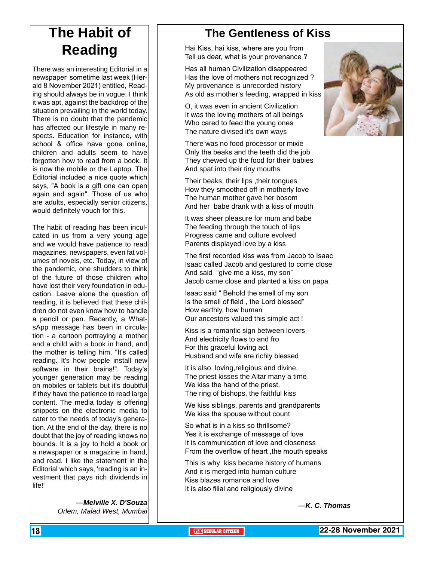## **The Habit of Reading**

There was an interesting Editorial in a newspaper sometime last week (Herald 8 November 2021) entitled, Reading should always be in vogue. I think it was apt, against the backdrop of the situation prevailing in the world today. There is no doubt that the pandemic has affected our lifestyle in many respects. Education for instance, with school & office have gone online, children and adults seem to have forgotten how to read from a book. It is now the mobile or the Laptop. The Editorial included a nice quote which says, "A book is a gift one can open again and again". Those of us who are adults, especially senior citizens, would definitely vouch for this.

The habit of reading has been inculcated in us from a very young age and we would have patience to read magazines, newspapers, even fat volumes of novels, etc. Today, in view of the pandemic, one shudders to think of the future of those children who have lost their very foundation in education. Leave alone the question of reading, it is believed that these children do not even know how to handle a pencil or pen. Recently, a WhatsApp message has been in circulation - a cartoon portraying a mother and a child with a book in hand, and the mother is telling him, "It's called reading. It's how people install new software in their brains!". Today's younger generation may be reading on mobiles or tablets but it's doubtful if they have the patience to read large content. The media today is offering snippets on the electronic media to cater to the needs of today's generation. At the end of the day, there is no doubt that the joy of reading knows no bounds. It is a joy to hold a book or a newspaper or a magazine in hand, and read. I like the statement in the Editorial which says, 'reading is an investment that pays rich dividends in life!'

> *—Melville X. D'Souza Orlem, Malad West, Mumbai*

## **The Gentleness of Kiss**

Hai Kiss, hai kiss, where are you from Tell us dear, what is your provenance ?

Has all human Civilization disappeared Has the love of mothers not recognized ? My provenance is unrecorded history As old as mother's feeding, wrapped in kiss

O, it was even in ancient Civilization It was the loving mothers of all beings Who cared to feed the young ones The nature divised it's own ways

There was no food processor or mixie Only the beaks and the teeth did the job They chewed up the food for their babies And spat into their tiny mouths

Their beaks, their lips ,their tongues How they smoothed off in motherly love The human mother gave her bosom And her babe drank with a kiss of mouth

It was sheer pleasure for mum and babe The feeding through the touch of lips Progress came and culture evolved Parents displayed love by a kiss

The first recorded kiss was from Jacob to Isaac Isaac called Jacob and gestured to come close And said "give me a kiss, my son" Jacob came close and planted a kiss on papa

Isaac said " Behold the smell of my son Is the smell of field , the Lord blessed" How earthly, how human Our ancestors valued this simple act !

Kiss is a romantic sign between lovers And electricity flows to and fro For this graceful loving act Husband and wife are richly blessed

It is also loving,religious and divine. The priest kisses the Altar many a time We kiss the hand of the priest. The ring of bishops, the faithful kiss

We kiss siblings, parents and grandparents We kiss the spouse without count

So what is in a kiss so thrillsome? Yes it is exchange of message of love It is communication of love and closeness From the overflow of heart ,the mouth speaks

This is why kiss became history of humans And it is merged into human culture Kiss blazes romance and love It is also filial and religiously divine

*—K. C. Thomas*

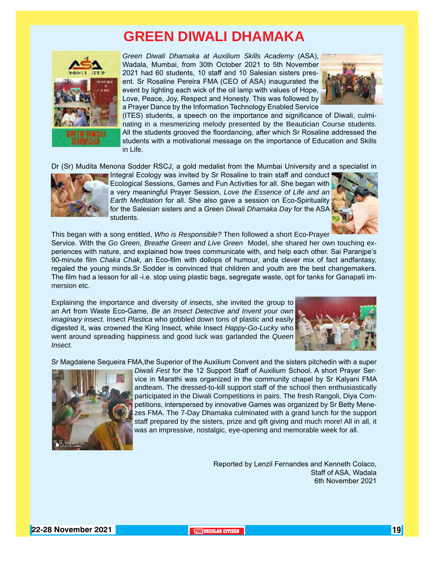## **GREEN DIWALI DHAMAKA**



*Green Diwali Dhamaka at Auxilium Skills Academy* (ASA), Wadala, Mumbai, from 30th October 2021 to 5th November 2021 had 60 students, 10 staff and 10 Salesian sisters present. Sr Rosaline Pereira FMA (CEO of ASA) inaugurated the event by lighting each wick of the oil lamp with values of Hope, Love, Peace, Joy, Respect and Honesty. This was followed by a Prayer Dance by the Information Technology Enabled Service



(ITES) students, a speech on the importance and significance of Diwali, culminating in a mesmerizing melody presented by the Beautician Course students. All the students grooved the floordancing, after which Sr Rosaline addressed the students with a motivational message on the importance of Education and Skills in Life.

Dr (Sr) Mudita Menona Sodder RSCJ, a gold medalist from the Mumbai University and a specialist in



Integral Ecology was invited by Sr Rosaline to train staff and conduct Ecological Sessions, Games and Fun Activities for all. She began with a very meaningful Prayer Session, *Love the Essence of Life and an Earth Meditation* for all. She also gave a session on Eco-Spirituality for the Salesian sisters and a Green *Diwali Dhamaka Day* for the ASA students.



This began with a song entitled, *Who is Responsible?* Then followed a short Eco-Prayer Service. With the *Go Green, Breathe Green and Live Green* Model, she shared her own touching experiences with nature, and explained how trees communicate with, and help each other. Sai Paranjpe's 90-minute film *Chaka Chak,* an Eco-film with dollops of humour, anda clever mix of fact andfantasy, regaled the young minds.Sr Sodder is convinced that children and youth are the best changemakers. The film had a lesson for all -i.e. stop using plastic bags, segregate waste, opt for tanks for Ganapati immersion etc.

Explaining the importance and diversity of insects, she invited the group to an Art from Waste Eco-Game, *Be an Insect Detective and Invent your own imaginary insect.* Insect *Plastica* who gobbled down tons of plastic and easily digested it, was crowned the King Insect, while Insect *Happy-Go-Luck*y who went around spreading happiness and good luck was garlanded the *Queen Insect.*



Sr Magdalene Sequeira FMA,the Superior of the Auxilium Convent and the sisters pitchedin with a super



*Diwali Fest* for the 12 Support Staff of Auxilium School. A short Prayer Service in Marathi was organized in the community chapel by Sr Kalyani FMA andteam. The dressed-to-kill support staff of the school then enthusiastically participated in the Diwali Competitions in pairs. The fresh Rangoli, Diya Competitions, interspersed by innovative Games was organized by Sr Betty Menezes FMA. The 7-Day Dhamaka culminated with a grand lunch for the support staff prepared by the sisters, prize and gift giving and much more! All in all, it was an impressive, nostalgic, eye-opening and memorable week for all.

> Reported by Lenzil Fernandes and Kenneth Colaco, Staff of ASA, Wadala 6th November 2021